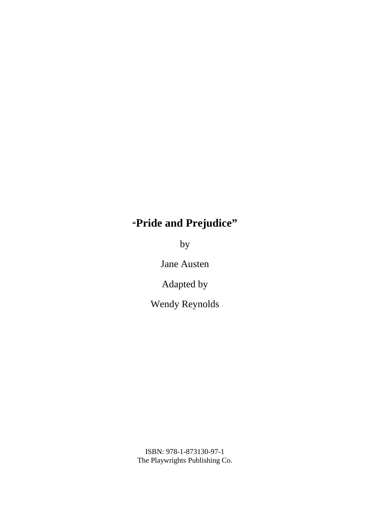# **"Pride and Prejudice"**

by

Jane Austen

Adapted by

Wendy Reynolds

ISBN: 978-1-873130-97-1 The Playwrights Publishing Co.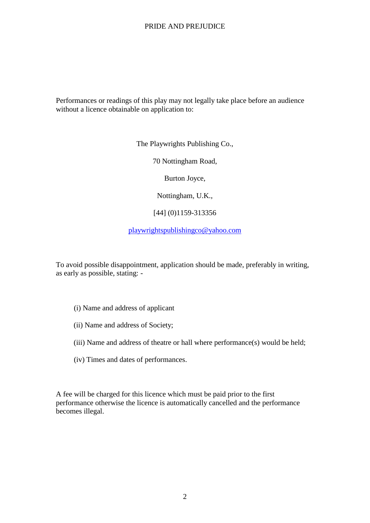Performances or readings of this play may not legally take place before an audience without a licence obtainable on application to:

The Playwrights Publishing Co.,

70 Nottingham Road,

Burton Joyce,

Nottingham, U.K.,

[44] (0)1159-313356

playwrightspublishingco@yahoo.com

To avoid possible disappointment, application should be made, preferably in writing, as early as possible, stating: -

- (i) Name and address of applicant
- (ii) Name and address of Society;
- (iii) Name and address of theatre or hall where performance(s) would be held;
- (iv) Times and dates of performances.

A fee will be charged for this licence which must be paid prior to the first performance otherwise the licence is automatically cancelled and the performance becomes illegal.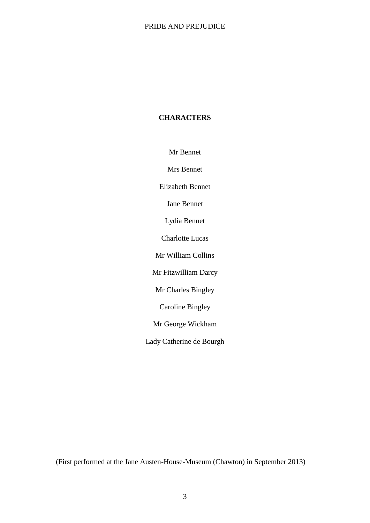# **CHARACTERS**

Mr Bennet

Mrs Bennet

Elizabeth Bennet

Jane Bennet

Lydia Bennet

Charlotte Lucas

Mr William Collins

Mr Fitzwilliam Darcy

Mr Charles Bingley

Caroline Bingley

Mr George Wickham

Lady Catherine de Bourgh

(First performed at the Jane Austen-House-Museum (Chawton) in September 2013)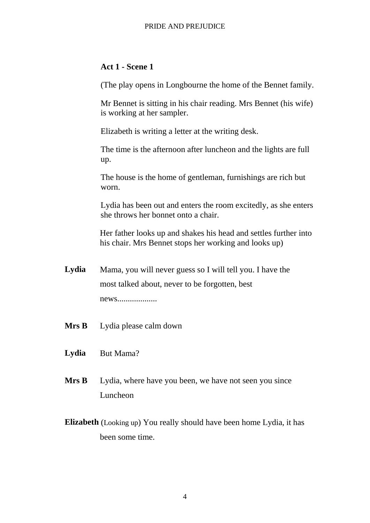# **Act 1 - Scene 1**

(The play opens in Longbourne the home of the Bennet family.

Mr Bennet is sitting in his chair reading. Mrs Bennet (his wife) is working at her sampler.

Elizabeth is writing a letter at the writing desk.

The time is the afternoon after luncheon and the lights are full up.

The house is the home of gentleman, furnishings are rich but worn.

Lydia has been out and enters the room excitedly, as she enters she throws her bonnet onto a chair.

Her father looks up and shakes his head and settles further into his chair. Mrs Bennet stops her working and looks up)

- **Lydia** Mama, you will never guess so I will tell you. I have the most talked about, never to be forgotten, best news...................
- **Mrs B** Lydia please calm down
- **Lydia** But Mama?
- **Mrs B** Lydia, where have you been, we have not seen you since Luncheon
- **Elizabeth** (Looking up) You really should have been home Lydia, it has been some time.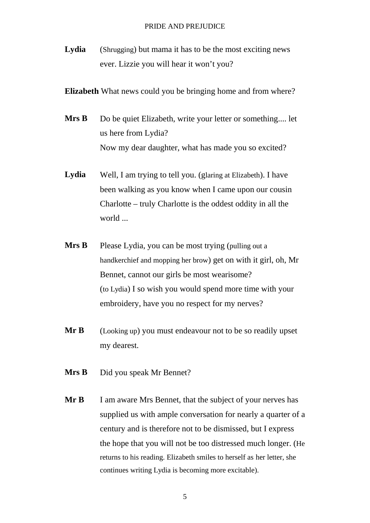Lydia (Shrugging) but mama it has to be the most exciting news ever. Lizzie you will hear it won't you?

**Elizabeth** What news could you be bringing home and from where?

- **Mrs B** Do be quiet Elizabeth, write your letter or something.... let us here from Lydia? Now my dear daughter, what has made you so excited?
- Lydia Well, I am trying to tell you. (glaring at Elizabeth). I have been walking as you know when I came upon our cousin Charlotte – truly Charlotte is the oddest oddity in all the world ...
- **Mrs B** Please Lydia, you can be most trying (pulling out a handkerchief and mopping her brow) get on with it girl, oh, Mr Bennet, cannot our girls be most wearisome? (to Lydia) I so wish you would spend more time with your embroidery, have you no respect for my nerves?
- **Mr B** (Looking up) you must endeavour not to be so readily upset my dearest.
- **Mrs B** Did you speak Mr Bennet?
- **Mr B** I am aware Mrs Bennet, that the subject of your nerves has supplied us with ample conversation for nearly a quarter of a century and is therefore not to be dismissed, but I express the hope that you will not be too distressed much longer. (He returns to his reading. Elizabeth smiles to herself as her letter, she continues writing Lydia is becoming more excitable).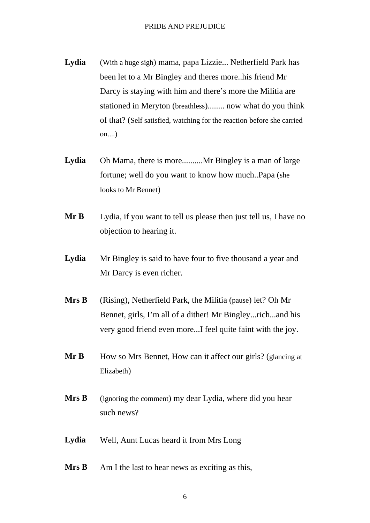- **Lydia** (With a huge sigh) mama, papa Lizzie... Netherfield Park has been let to a Mr Bingley and theres more..his friend Mr Darcy is staying with him and there's more the Militia are stationed in Meryton (breathless)........ now what do you think of that? (Self satisfied, watching for the reaction before she carried on....)
- **Lydia** Oh Mama, there is more..........Mr Bingley is a man of large fortune; well do you want to know how much..Papa (she looks to Mr Bennet)
- **Mr B** Lydia, if you want to tell us please then just tell us, I have no objection to hearing it.
- Lydia Mr Bingley is said to have four to five thousand a year and Mr Darcy is even richer.
- **Mrs B** (Rising), Netherfield Park, the Militia (pause) let? Oh Mr Bennet, girls, I'm all of a dither! Mr Bingley...rich...and his very good friend even more...I feel quite faint with the joy.
- **Mr B** How so Mrs Bennet, How can it affect our girls? (glancing at Elizabeth)
- **Mrs B** (ignoring the comment) my dear Lydia, where did you hear such news?
- **Lydia** Well, Aunt Lucas heard it from Mrs Long
- **Mrs B** Am I the last to hear news as exciting as this,
	- 6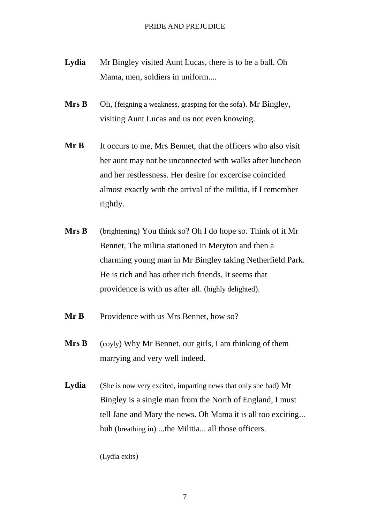- **Lydia** Mr Bingley visited Aunt Lucas, there is to be a ball. Oh Mama, men, soldiers in uniform....
- **Mrs B** Oh, (feigning a weakness, grasping for the sofa). Mr Bingley, visiting Aunt Lucas and us not even knowing.
- **Mr B** It occurs to me, Mrs Bennet, that the officers who also visit her aunt may not be unconnected with walks after luncheon and her restlessness. Her desire for excercise coincided almost exactly with the arrival of the militia, if I remember rightly.
- **Mrs B** (brightening) You think so? Oh I do hope so. Think of it Mr Bennet, The militia stationed in Meryton and then a charming young man in Mr Bingley taking Netherfield Park. He is rich and has other rich friends. It seems that providence is with us after all. (highly delighted).
- **Mr B** Providence with us Mrs Bennet, how so?
- **Mrs B** (coyly) Why Mr Bennet, our girls, I am thinking of them marrying and very well indeed.
- **Lydia** (She is now very excited, imparting news that only she had) Mr Bingley is a single man from the North of England, I must tell Jane and Mary the news. Oh Mama it is all too exciting... huh (breathing in) ...the Militia... all those officers.

(Lydia exits)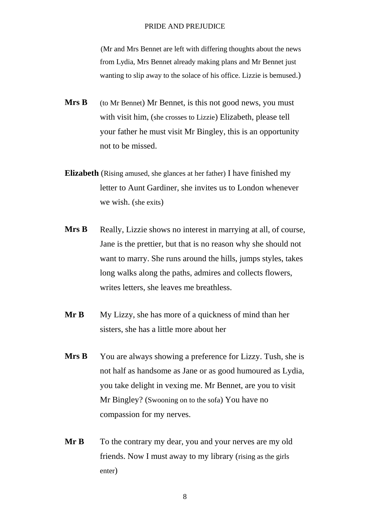(Mr and Mrs Bennet are left with differing thoughts about the news from Lydia, Mrs Bennet already making plans and Mr Bennet just wanting to slip away to the solace of his office. Lizzie is bemused.)

- **Mrs B** (to Mr Bennet) Mr Bennet, is this not good news, you must with visit him, (she crosses to Lizzie) Elizabeth, please tell your father he must visit Mr Bingley, this is an opportunity not to be missed.
- **Elizabeth** (Rising amused, she glances at her father) I have finished my letter to Aunt Gardiner, she invites us to London whenever we wish. (she exits)
- **Mrs B** Really, Lizzie shows no interest in marrying at all, of course, Jane is the prettier, but that is no reason why she should not want to marry. She runs around the hills, jumps styles, takes long walks along the paths, admires and collects flowers, writes letters, she leaves me breathless.
- **Mr B** My Lizzy, she has more of a quickness of mind than her sisters, she has a little more about her
- **Mrs B** You are always showing a preference for Lizzy. Tush, she is not half as handsome as Jane or as good humoured as Lydia, you take delight in vexing me. Mr Bennet, are you to visit Mr Bingley? (Swooning on to the sofa) You have no compassion for my nerves.
- **Mr B** To the contrary my dear, you and your nerves are my old friends. Now I must away to my library (rising as the girls enter)

8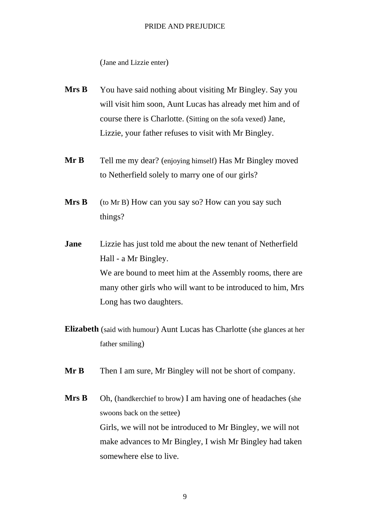(Jane and Lizzie enter)

- **Mrs B** You have said nothing about visiting Mr Bingley. Say you will visit him soon, Aunt Lucas has already met him and of course there is Charlotte. (Sitting on the sofa vexed) Jane, Lizzie, your father refuses to visit with Mr Bingley.
- **Mr B** Tell me my dear? (enjoying himself) Has Mr Bingley moved to Netherfield solely to marry one of our girls?
- **Mrs B** (to Mr B) How can you say so? How can you say such things?
- **Jane** Lizzie has just told me about the new tenant of Netherfield Hall - a Mr Bingley. We are bound to meet him at the Assembly rooms, there are many other girls who will want to be introduced to him, Mrs Long has two daughters.
- **Elizabeth** (said with humour) Aunt Lucas has Charlotte (she glances at her father smiling)
- **Mr B** Then I am sure, Mr Bingley will not be short of company.
- **Mrs B** Oh, (handkerchief to brow) I am having one of headaches (she swoons back on the settee) Girls, we will not be introduced to Mr Bingley, we will not make advances to Mr Bingley, I wish Mr Bingley had taken somewhere else to live.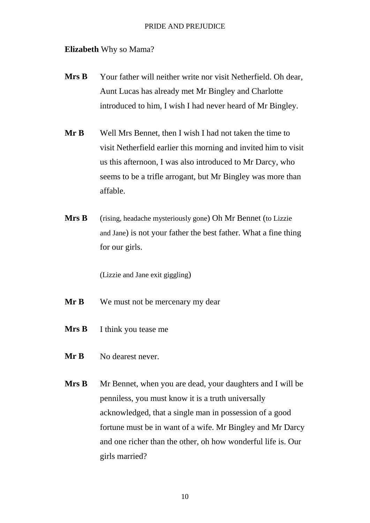# **Elizabeth** Why so Mama?

- **Mrs B** Your father will neither write nor visit Netherfield. Oh dear, Aunt Lucas has already met Mr Bingley and Charlotte introduced to him, I wish I had never heard of Mr Bingley.
- **Mr B** Well Mrs Bennet, then I wish I had not taken the time to visit Netherfield earlier this morning and invited him to visit us this afternoon, I was also introduced to Mr Darcy, who seems to be a trifle arrogant, but Mr Bingley was more than affable.
- **Mrs B** (rising, headache mysteriously gone) Oh Mr Bennet (to Lizzie and Jane) is not your father the best father. What a fine thing for our girls.

(Lizzie and Jane exit giggling)

- **Mr B** We must not be mercenary my dear
- **Mrs B** I think you tease me
- **Mr B** No dearest never.
- **Mrs B** Mr Bennet, when you are dead, your daughters and I will be penniless, you must know it is a truth universally acknowledged, that a single man in possession of a good fortune must be in want of a wife. Mr Bingley and Mr Darcy and one richer than the other, oh how wonderful life is. Our girls married?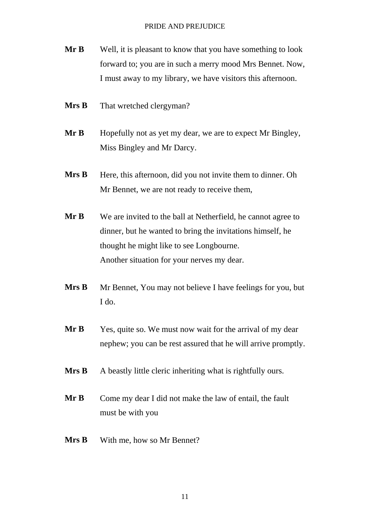- **Mr B** Well, it is pleasant to know that you have something to look forward to; you are in such a merry mood Mrs Bennet. Now, I must away to my library, we have visitors this afternoon.
- **Mrs B** That wretched clergyman?
- **Mr B** Hopefully not as yet my dear, we are to expect Mr Bingley, Miss Bingley and Mr Darcy.
- **Mrs B** Here, this afternoon, did you not invite them to dinner. Oh Mr Bennet, we are not ready to receive them,
- **Mr B** We are invited to the ball at Netherfield, he cannot agree to dinner, but he wanted to bring the invitations himself, he thought he might like to see Longbourne. Another situation for your nerves my dear.
- **Mrs B** Mr Bennet, You may not believe I have feelings for you, but I do.
- **Mr B** Yes, quite so. We must now wait for the arrival of my dear nephew; you can be rest assured that he will arrive promptly.
- **Mrs B** A beastly little cleric inheriting what is rightfully ours.
- **Mr B** Come my dear I did not make the law of entail, the fault must be with you
- **Mrs B** With me, how so Mr Bennet?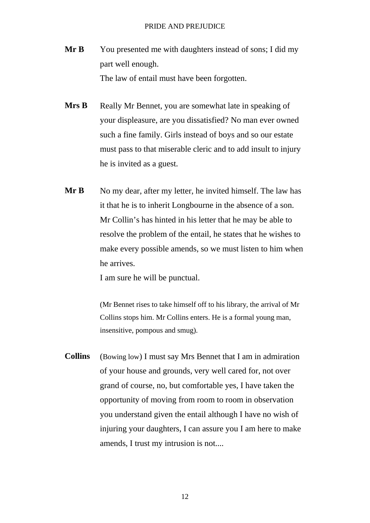- **Mr B** You presented me with daughters instead of sons; I did my part well enough. The law of entail must have been forgotten.
- **Mrs B** Really Mr Bennet, you are somewhat late in speaking of your displeasure, are you dissatisfied? No man ever owned such a fine family. Girls instead of boys and so our estate must pass to that miserable cleric and to add insult to injury he is invited as a guest.
- **Mr B** No my dear, after my letter, he invited himself. The law has it that he is to inherit Longbourne in the absence of a son. Mr Collin's has hinted in his letter that he may be able to resolve the problem of the entail, he states that he wishes to make every possible amends, so we must listen to him when he arrives.

I am sure he will be punctual.

(Mr Bennet rises to take himself off to his library, the arrival of Mr Collins stops him. Mr Collins enters. He is a formal young man, insensitive, pompous and smug).

**Collins** (Bowing low) I must say Mrs Bennet that I am in admiration of your house and grounds, very well cared for, not over grand of course, no, but comfortable yes, I have taken the opportunity of moving from room to room in observation you understand given the entail although I have no wish of injuring your daughters, I can assure you I am here to make amends, I trust my intrusion is not....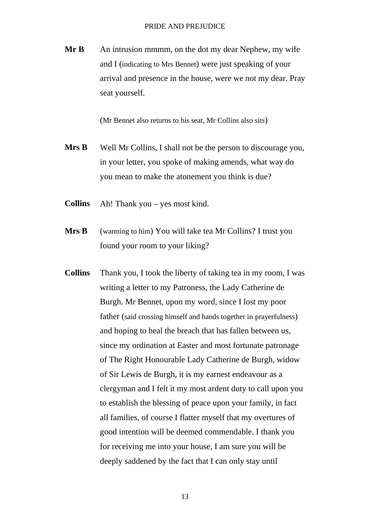**Mr B** An intrusion mmmm, on the dot my dear Nephew, my wife and I (indicating to Mrs Bennet) were just speaking of your arrival and presence in the house, were we not my dear. Pray seat yourself.

(Mr Bennet also returns to his seat, Mr Collins also sits)

- **Mrs B** Well Mr Collins, I shall not be the person to discourage you, in your letter, you spoke of making amends, what way do you mean to make the atonement you think is due?
- **Collins** Ah! Thank you yes most kind.
- **Mrs B** (warming to him) You will take tea Mr Collins? I trust you found your room to your liking?
- **Collins** Thank you, I took the liberty of taking tea in my room, I was writing a letter to my Patroness, the Lady Catherine de Burgh. Mr Bennet, upon my word, since I lost my poor father (said crossing himself and hands together in prayerfulness) and hoping to heal the breach that has fallen between us, since my ordination at Easter and most fortunate patronage of The Right Honourable Lady Catherine de Burgh, widow of Sir Lewis de Burgh, it is my earnest endeavour as a clergyman and I felt it my most ardent duty to call upon you to establish the blessing of peace upon your family, in fact all families, of course I flatter myself that my overtures of good intention will be deemed commendable. I thank you for receiving me into your house, I am sure you will be deeply saddened by the fact that I can only stay until

13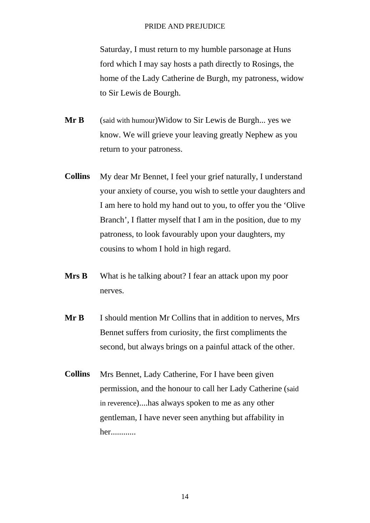Saturday, I must return to my humble parsonage at Huns ford which I may say hosts a path directly to Rosings, the home of the Lady Catherine de Burgh, my patroness, widow to Sir Lewis de Bourgh.

- **Mr B** (said with humour)Widow to Sir Lewis de Burgh... yes we know. We will grieve your leaving greatly Nephew as you return to your patroness.
- **Collins** My dear Mr Bennet, I feel your grief naturally, I understand your anxiety of course, you wish to settle your daughters and I am here to hold my hand out to you, to offer you the 'Olive Branch', I flatter myself that I am in the position, due to my patroness, to look favourably upon your daughters, my cousins to whom I hold in high regard.
- **Mrs B** What is he talking about? I fear an attack upon my poor nerves.
- **Mr B** I should mention Mr Collins that in addition to nerves, Mrs Bennet suffers from curiosity, the first compliments the second, but always brings on a painful attack of the other.
- **Collins** Mrs Bennet, Lady Catherine, For I have been given permission, and the honour to call her Lady Catherine (said in reverence)....has always spoken to me as any other gentleman, I have never seen anything but affability in her............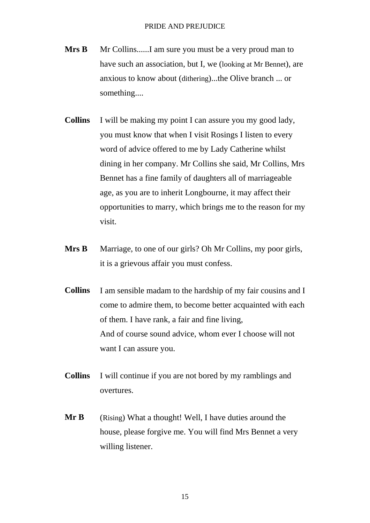- **Mrs B** Mr Collins.......I am sure you must be a very proud man to have such an association, but I, we (looking at Mr Bennet), are anxious to know about (dithering)...the Olive branch ... or something....
- **Collins** I will be making my point I can assure you my good lady, you must know that when I visit Rosings I listen to every word of advice offered to me by Lady Catherine whilst dining in her company. Mr Collins she said, Mr Collins, Mrs Bennet has a fine family of daughters all of marriageable age, as you are to inherit Longbourne, it may affect their opportunities to marry, which brings me to the reason for my visit.
- **Mrs B** Marriage, to one of our girls? Oh Mr Collins, my poor girls, it is a grievous affair you must confess.
- **Collins** I am sensible madam to the hardship of my fair cousins and I come to admire them, to become better acquainted with each of them. I have rank, a fair and fine living, And of course sound advice, whom ever I choose will not want I can assure you.
- **Collins** I will continue if you are not bored by my ramblings and overtures.
- **Mr B** (Rising) What a thought! Well, I have duties around the house, please forgive me. You will find Mrs Bennet a very willing listener.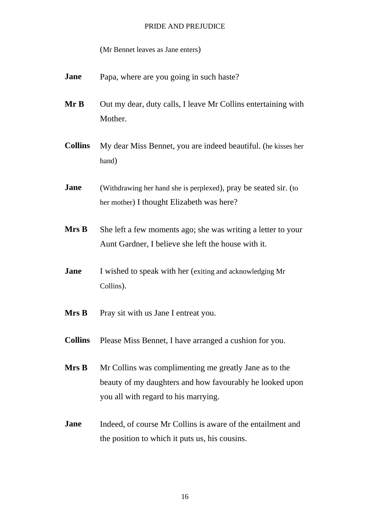(Mr Bennet leaves as Jane enters)

- **Jane** Papa, where are you going in such haste?
- **Mr B** Out my dear, duty calls, I leave Mr Collins entertaining with Mother.
- **Collins** My dear Miss Bennet, you are indeed beautiful. (he kisses her hand)
- **Jane** (Withdrawing her hand she is perplexed), pray be seated sir. (to her mother) I thought Elizabeth was here?
- **Mrs B** She left a few moments ago; she was writing a letter to your Aunt Gardner, I believe she left the house with it.
- **Jane** I wished to speak with her (exiting and acknowledging Mr Collins).
- **Mrs B** Pray sit with us Jane I entreat you.
- **Collins** Please Miss Bennet, I have arranged a cushion for you.
- **Mrs B** Mr Collins was complimenting me greatly Jane as to the beauty of my daughters and how favourably he looked upon you all with regard to his marrying.
- **Jane** Indeed, of course Mr Collins is aware of the entailment and the position to which it puts us, his cousins.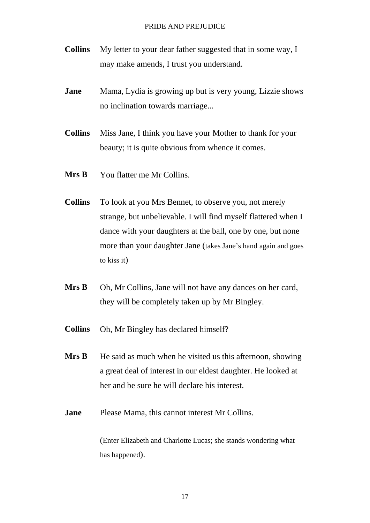- **Collins** My letter to your dear father suggested that in some way, I may make amends, I trust you understand.
- **Jane** Mama, Lydia is growing up but is very young, Lizzie shows no inclination towards marriage...
- **Collins** Miss Jane, I think you have your Mother to thank for your beauty; it is quite obvious from whence it comes.
- **Mrs B** You flatter me Mr Collins.
- **Collins** To look at you Mrs Bennet, to observe you, not merely strange, but unbelievable. I will find myself flattered when I dance with your daughters at the ball, one by one, but none more than your daughter Jane (takes Jane's hand again and goes to kiss it)
- **Mrs B** Oh, Mr Collins, Jane will not have any dances on her card, they will be completely taken up by Mr Bingley.
- **Collins** Oh, Mr Bingley has declared himself?
- **Mrs B** He said as much when he visited us this afternoon, showing a great deal of interest in our eldest daughter. He looked at her and be sure he will declare his interest.
- **Jane** Please Mama, this cannot interest Mr Collins.

(Enter Elizabeth and Charlotte Lucas; she stands wondering what has happened).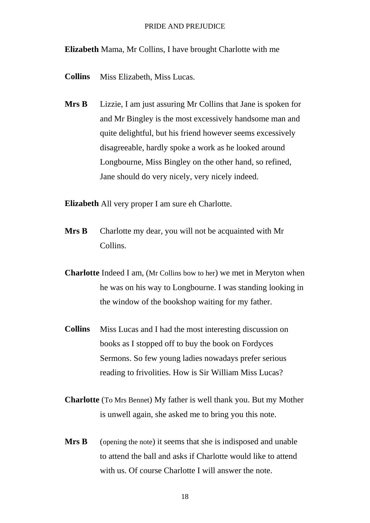**Elizabeth** Mama, Mr Collins, I have brought Charlotte with me

- **Collins** Miss Elizabeth, Miss Lucas.
- **Mrs B** Lizzie, I am just assuring Mr Collins that Jane is spoken for and Mr Bingley is the most excessively handsome man and quite delightful, but his friend however seems excessively disagreeable, hardly spoke a work as he looked around Longbourne, Miss Bingley on the other hand, so refined, Jane should do very nicely, very nicely indeed.

**Elizabeth** All very proper I am sure eh Charlotte.

- **Mrs B** Charlotte my dear, you will not be acquainted with Mr Collins.
- **Charlotte** Indeed I am, (Mr Collins bow to her) we met in Meryton when he was on his way to Longbourne. I was standing looking in the window of the bookshop waiting for my father.
- **Collins** Miss Lucas and I had the most interesting discussion on books as I stopped off to buy the book on Fordyces Sermons. So few young ladies nowadays prefer serious reading to frivolities. How is Sir William Miss Lucas?
- **Charlotte** (To Mrs Bennet) My father is well thank you. But my Mother is unwell again, she asked me to bring you this note.
- **Mrs B** (opening the note) it seems that she is indisposed and unable to attend the ball and asks if Charlotte would like to attend with us. Of course Charlotte I will answer the note.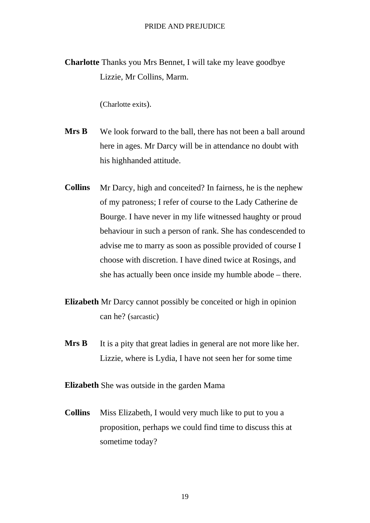**Charlotte** Thanks you Mrs Bennet, I will take my leave goodbye Lizzie, Mr Collins, Marm.

(Charlotte exits).

- **Mrs B** We look forward to the ball, there has not been a ball around here in ages. Mr Darcy will be in attendance no doubt with his highhanded attitude.
- **Collins** Mr Darcy, high and conceited? In fairness, he is the nephew of my patroness; I refer of course to the Lady Catherine de Bourge. I have never in my life witnessed haughty or proud behaviour in such a person of rank. She has condescended to advise me to marry as soon as possible provided of course I choose with discretion. I have dined twice at Rosings, and she has actually been once inside my humble abode – there.
- **Elizabeth** Mr Darcy cannot possibly be conceited or high in opinion can he? (sarcastic)
- **Mrs B** It is a pity that great ladies in general are not more like her. Lizzie, where is Lydia, I have not seen her for some time

**Elizabeth** She was outside in the garden Mama

**Collins** Miss Elizabeth, I would very much like to put to you a proposition, perhaps we could find time to discuss this at sometime today?